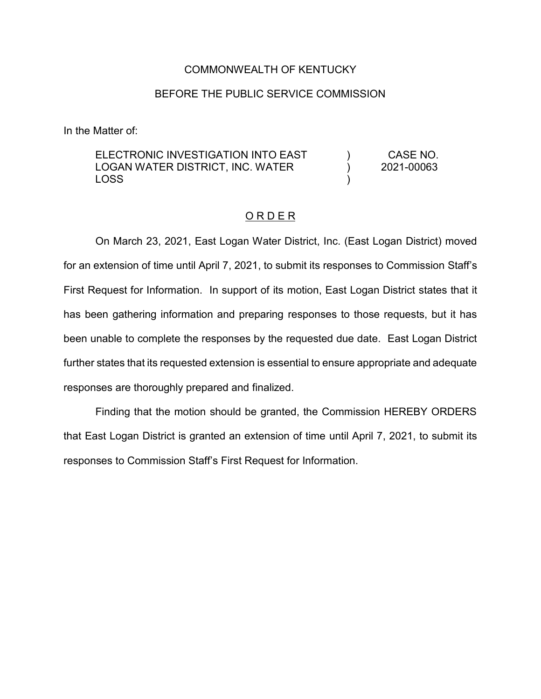## COMMONWEALTH OF KENTUCKY

## BEFORE THE PUBLIC SERVICE COMMISSION

In the Matter of:

ELECTRONIC INVESTIGATION INTO EAST LOGAN WATER DISTRICT, INC. WATER LOSS ) ) ) CASE NO. 2021-00063

## O R D E R

On March 23, 2021, East Logan Water District, Inc. (East Logan District) moved for an extension of time until April 7, 2021, to submit its responses to Commission Staff's First Request for Information. In support of its motion, East Logan District states that it has been gathering information and preparing responses to those requests, but it has been unable to complete the responses by the requested due date. East Logan District further states that its requested extension is essential to ensure appropriate and adequate responses are thoroughly prepared and finalized.

Finding that the motion should be granted, the Commission HEREBY ORDERS that East Logan District is granted an extension of time until April 7, 2021, to submit its responses to Commission Staff's First Request for Information.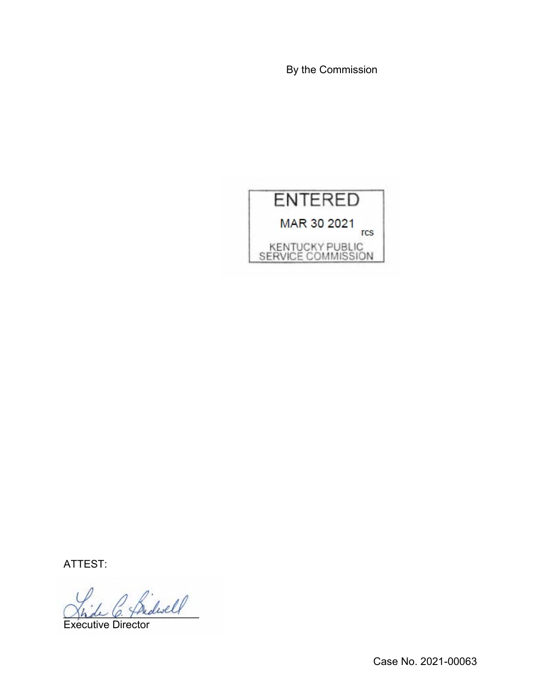By the Commission



ATTEST:

\_\_\_\_\_\_\_\_\_\_\_\_\_\_\_\_\_\_\_\_\_\_\_

Executive Director

Case No. 2021-00063